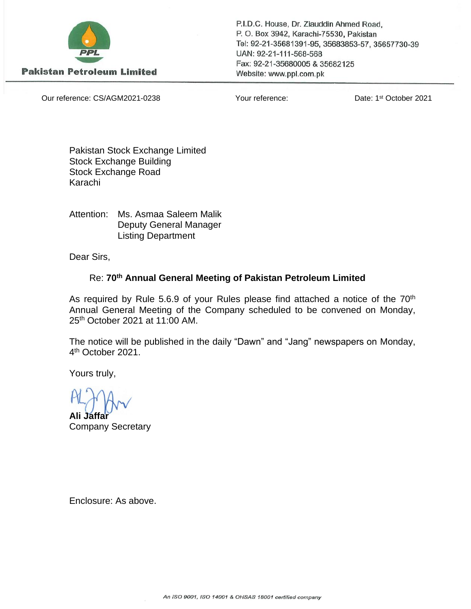

**Pakistan Petroleum Limited** 

P.I.D.C. House, Dr. Ziauddin Ahmed Road, P.O. Box 3942, Karachi-75530, Pakistan Tel: 92-21-35681391-95, 35683853-57, 35657730-39 UAN: 92-21-111-568-568 Fax: 92-21-35680005 & 35682125 Website: www.ppl.com.pk

Our reference: CS/AGM2021-0238 Your reference:

Date: 1<sup>st</sup> October 2021

Pakistan Stock Exchange Limited Stock Exchange Building Stock Exchange Road Karachi

Attention: Ms. Asmaa Saleem Malik Deputy General Manager Listing Department

Dear Sirs,

# Re: **70th Annual General Meeting of Pakistan Petroleum Limited**

As required by Rule 5.6.9 of your Rules please find attached a notice of the  $70<sup>th</sup>$ Annual General Meeting of the Company scheduled to be convened on Monday, 25<sup>th</sup> October 2021 at 11:00 AM.

The notice will be published in the daily "Dawn" and "Jang" newspapers on Monday, 4<sup>th</sup> October 2021.

Yours truly,

**Ali Jaffar** Company Secretary

Enclosure: As above.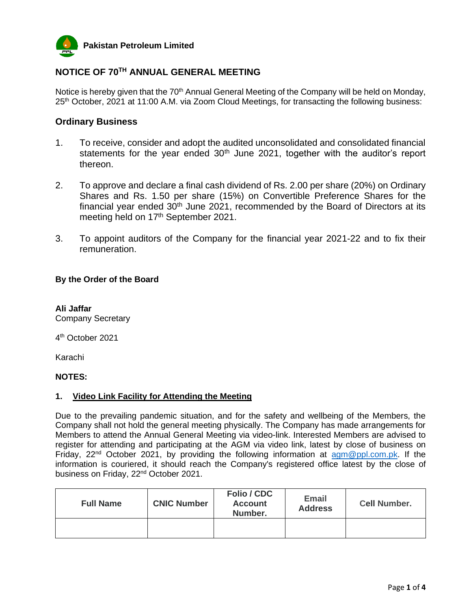

# **NOTICE OF 70TH ANNUAL GENERAL MEETING**

Notice is hereby given that the 70<sup>th</sup> Annual General Meeting of the Company will be held on Monday, 25<sup>th</sup> October, 2021 at 11:00 A.M. via Zoom Cloud Meetings, for transacting the following business:

## **Ordinary Business**

- 1. To receive, consider and adopt the audited unconsolidated and consolidated financial statements for the year ended  $30<sup>th</sup>$  June 2021, together with the auditor's report thereon.
- 2. To approve and declare a final cash dividend of Rs. 2.00 per share (20%) on Ordinary Shares and Rs. 1.50 per share (15%) on Convertible Preference Shares for the financial year ended  $30<sup>th</sup>$  June 2021, recommended by the Board of Directors at its meeting held on 17<sup>th</sup> September 2021.
- 3. To appoint auditors of the Company for the financial year 2021-22 and to fix their remuneration.

## **By the Order of the Board**

**Ali Jaffar** Company Secretary

4 th October 2021

Karachi

## **NOTES:**

## **1. Video Link Facility for Attending the Meeting**

Due to the prevailing pandemic situation, and for the safety and wellbeing of the Members, the Company shall not hold the general meeting physically. The Company has made arrangements for Members to attend the Annual General Meeting via video-link. Interested Members are advised to register for attending and participating at the AGM via video link, latest by close of business on Friday, 22<sup>nd</sup> October 2021, by providing the following information at **[agm@ppl.com.pk.](mailto:agm@ppl.com.pk)** If the information is couriered, it should reach the Company's registered office latest by the close of business on Friday, 22<sup>nd</sup> October 2021.

| <b>Full Name</b> | <b>CNIC Number</b> | <b>Folio / CDC</b><br><b>Account</b><br>Number. | <b>Email</b><br><b>Address</b> | <b>Cell Number.</b> |
|------------------|--------------------|-------------------------------------------------|--------------------------------|---------------------|
|                  |                    |                                                 |                                |                     |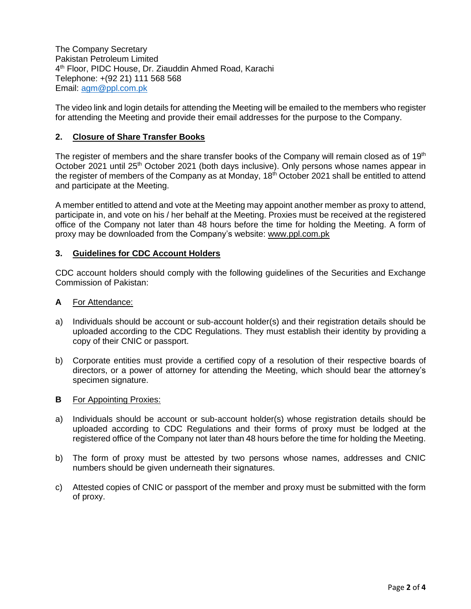The Company Secretary Pakistan Petroleum Limited 4 th Floor, PIDC House, Dr. Ziauddin Ahmed Road, Karachi Telephone: +(92 21) 111 568 568 Email: [agm@ppl.com.pk](mailto:agm@ppl.com.pk)

The video link and login details for attending the Meeting will be emailed to the members who register for attending the Meeting and provide their email addresses for the purpose to the Company.

## **2. Closure of Share Transfer Books**

The register of members and the share transfer books of the Company will remain closed as of 19<sup>th</sup> October 2021 until 25<sup>th</sup> October 2021 (both days inclusive). Only persons whose names appear in the register of members of the Company as at Monday, 18<sup>th</sup> October 2021 shall be entitled to attend and participate at the Meeting.

A member entitled to attend and vote at the Meeting may appoint another member as proxy to attend, participate in, and vote on his / her behalf at the Meeting. Proxies must be received at the registered office of the Company not later than 48 hours before the time for holding the Meeting. A form of proxy may be downloaded from the Company's website: [www.ppl.com.pk](http://www.ppl.com.pk/)

#### **3. Guidelines for CDC Account Holders**

CDC account holders should comply with the following guidelines of the Securities and Exchange Commission of Pakistan:

#### **A** For Attendance:

- a) Individuals should be account or sub-account holder(s) and their registration details should be uploaded according to the CDC Regulations. They must establish their identity by providing a copy of their CNIC or passport.
- b) Corporate entities must provide a certified copy of a resolution of their respective boards of directors, or a power of attorney for attending the Meeting, which should bear the attorney's specimen signature.

#### **B** For Appointing Proxies:

- a) Individuals should be account or sub-account holder(s) whose registration details should be uploaded according to CDC Regulations and their forms of proxy must be lodged at the registered office of the Company not later than 48 hours before the time for holding the Meeting.
- b) The form of proxy must be attested by two persons whose names, addresses and CNIC numbers should be given underneath their signatures.
- c) Attested copies of CNIC or passport of the member and proxy must be submitted with the form of proxy.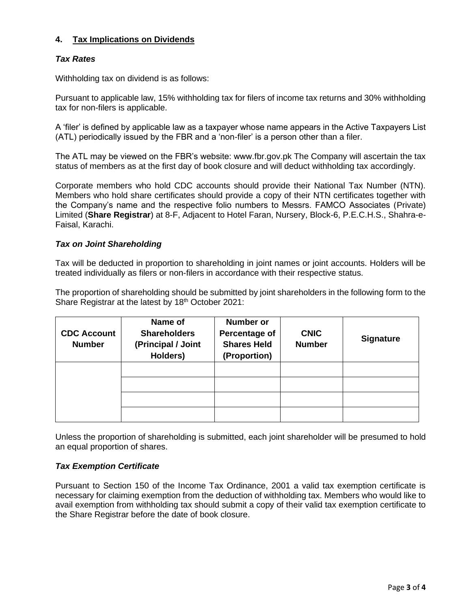# **4. Tax Implications on Dividends**

## *Tax Rates*

Withholding tax on dividend is as follows:

Pursuant to applicable law, 15% withholding tax for filers of income tax returns and 30% withholding tax for non-filers is applicable.

A 'filer' is defined by applicable law as a taxpayer whose name appears in the Active Taxpayers List (ATL) periodically issued by the FBR and a 'non-filer' is a person other than a filer.

The ATL may be viewed on the FBR's website: www[.fbr.gov.pk](http://fbr.gov.pk/) The Company will ascertain the tax status of members as at the first day of book closure and will deduct withholding tax accordingly.

Corporate members who hold CDC accounts should provide their National Tax Number (NTN). Members who hold share certificates should provide a copy of their NTN certificates together with the Company's name and the respective folio numbers to Messrs. FAMCO Associates (Private) Limited (**Share Registrar**) at 8-F, Adjacent to Hotel Faran, Nursery, Block-6, P.E.C.H.S., Shahra-e-Faisal, Karachi.

## *Tax on Joint Shareholding*

Tax will be deducted in proportion to shareholding in joint names or joint accounts. Holders will be treated individually as filers or non-filers in accordance with their respective status.

The proportion of shareholding should be submitted by joint shareholders in the following form to the Share Registrar at the latest by 18th October 2021:

| <b>CDC Account</b><br><b>Number</b> | Name of<br><b>Shareholders</b><br>(Principal / Joint<br>Holders) | <b>Number or</b><br><b>Percentage of</b><br><b>Shares Held</b><br>(Proportion) | <b>CNIC</b><br><b>Number</b> | <b>Signature</b> |
|-------------------------------------|------------------------------------------------------------------|--------------------------------------------------------------------------------|------------------------------|------------------|
|                                     |                                                                  |                                                                                |                              |                  |
|                                     |                                                                  |                                                                                |                              |                  |
|                                     |                                                                  |                                                                                |                              |                  |

Unless the proportion of shareholding is submitted, each joint shareholder will be presumed to hold an equal proportion of shares.

## *Tax Exemption Certificate*

Pursuant to Section 150 of the Income Tax Ordinance, 2001 a valid tax exemption certificate is necessary for claiming exemption from the deduction of withholding tax. Members who would like to avail exemption from withholding tax should submit a copy of their valid tax exemption certificate to the Share Registrar before the date of book closure.